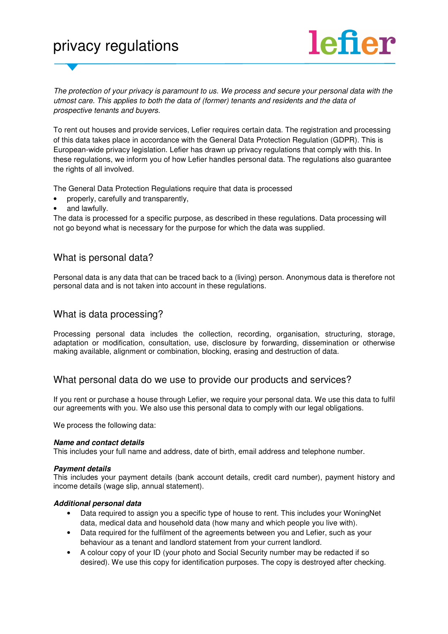# privacy regulations



The protection of your privacy is paramount to us. We process and secure your personal data with the utmost care. This applies to both the data of (former) tenants and residents and the data of prospective tenants and buyers.

To rent out houses and provide services, Lefier requires certain data. The registration and processing of this data takes place in accordance with the General Data Protection Regulation (GDPR). This is European-wide privacy legislation. Lefier has drawn up privacy regulations that comply with this. In these regulations, we inform you of how Lefier handles personal data. The regulations also guarantee the rights of all involved.

The General Data Protection Regulations require that data is processed

- properly, carefully and transparently,
- and lawfully.

The data is processed for a specific purpose, as described in these regulations. Data processing will not go beyond what is necessary for the purpose for which the data was supplied.

## What is personal data?

Personal data is any data that can be traced back to a (living) person. Anonymous data is therefore not personal data and is not taken into account in these regulations.

#### What is data processing?

Processing personal data includes the collection, recording, organisation, structuring, storage, adaptation or modification, consultation, use, disclosure by forwarding, dissemination or otherwise making available, alignment or combination, blocking, erasing and destruction of data.

## What personal data do we use to provide our products and services?

If you rent or purchase a house through Lefier, we require your personal data. We use this data to fulfil our agreements with you. We also use this personal data to comply with our legal obligations.

We process the following data:

#### **Name and contact details**

This includes your full name and address, date of birth, email address and telephone number.

#### **Payment details**

This includes your payment details (bank account details, credit card number), payment history and income details (wage slip, annual statement).

#### **Additional personal data**

- Data required to assign you a specific type of house to rent. This includes your WoningNet data, medical data and household data (how many and which people you live with).
- Data required for the fulfilment of the agreements between you and Lefier, such as your behaviour as a tenant and landlord statement from your current landlord.
- A colour copy of your ID (your photo and Social Security number may be redacted if so desired). We use this copy for identification purposes. The copy is destroyed after checking.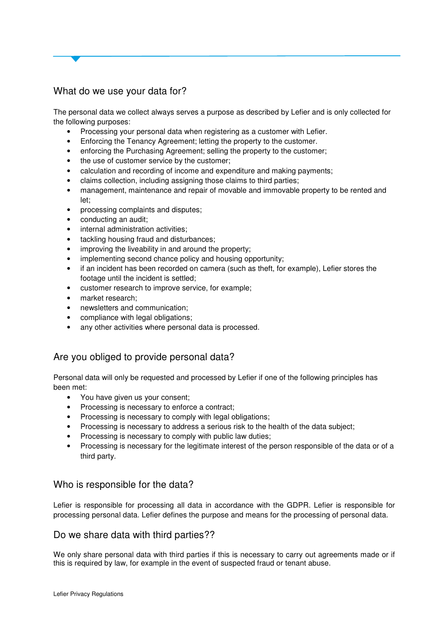# What do we use your data for?

The personal data we collect always serves a purpose as described by Lefier and is only collected for the following purposes:

- Processing your personal data when registering as a customer with Lefier.
- Enforcing the Tenancy Agreement; letting the property to the customer.
- enforcing the Purchasing Agreement; selling the property to the customer;
- the use of customer service by the customer;
- calculation and recording of income and expenditure and making payments;
- claims collection, including assigning those claims to third parties;
- management, maintenance and repair of movable and immovable property to be rented and let;
- processing complaints and disputes;
- conducting an audit;
- internal administration activities;
- tackling housing fraud and disturbances;
- improving the liveability in and around the property;
- implementing second chance policy and housing opportunity;
- if an incident has been recorded on camera (such as theft, for example), Lefier stores the footage until the incident is settled;
- customer research to improve service, for example;
- market research:
- newsletters and communication;
- compliance with legal obligations;
- any other activities where personal data is processed.

# Are you obliged to provide personal data?

Personal data will only be requested and processed by Lefier if one of the following principles has been met:

- You have given us your consent;
- Processing is necessary to enforce a contract;
- Processing is necessary to comply with legal obligations;
- Processing is necessary to address a serious risk to the health of the data subject;
- Processing is necessary to comply with public law duties;
- Processing is necessary for the legitimate interest of the person responsible of the data or of a third party.

# Who is responsible for the data?

Lefier is responsible for processing all data in accordance with the GDPR. Lefier is responsible for processing personal data. Lefier defines the purpose and means for the processing of personal data.

## Do we share data with third parties??

We only share personal data with third parties if this is necessary to carry out agreements made or if this is required by law, for example in the event of suspected fraud or tenant abuse.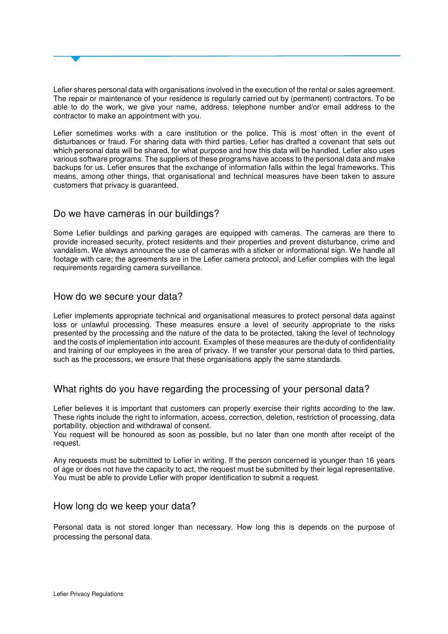Lefier shares personal data with organisations involved in the execution of the rental or sales agreement. The repair or maintenance of your residence is regularly carried out by (permanent) contractors. To be able to do the work, we give your name, address, telephone number and/or email address to the contractor to make an appointment with you.

Lefier sometimes works with a care institution or the police. This is most often in the event of disturbances or fraud. For sharing data with third parties, Lefier has drafted a covenant that sets out which personal data will be shared, for what purpose and how this data will be handled. Lefier also uses various software programs. The suppliers of these programs have access to the personal data and make backups for us. Lefier ensures that the exchange of information falls within the legal frameworks. This means, among other things, that organisational and technical measures have been taken to assure customers that privacy is guaranteed.

# Do we have cameras in our buildings?

Some Lefier buildings and parking garages are equipped with cameras. The cameras are there to provide increased security, protect residents and their properties and prevent disturbance, crime and vandalism. We always announce the use of cameras with a sticker or informational sign. We handle all footage with care; the agreements are in the Lefier camera protocol, and Lefier complies with the legal requirements regarding camera surveillance.

#### How do we secure your data?

Lefier implements appropriate technical and organisational measures to protect personal data against loss or unlawful processing. These measures ensure a level of security appropriate to the risks presented by the processing and the nature of the data to be protected, taking the level of technology and the costs of implementation into account. Examples of these measures are the duty of confidentiality and training of our employees in the area of privacy. If we transfer your personal data to third parties, such as the processors, we ensure that these organisations apply the same standards.

# What rights do you have regarding the processing of your personal data?

Lefier believes it is important that customers can properly exercise their rights according to the law. These rights include the right to information, access, correction, deletion, restriction of processing, data portability, objection and withdrawal of consent.

You request will be honoured as soon as possible, but no later than one month after receipt of the request.

Any requests must be submitted to Lefier in writing. If the person concerned is younger than 16 years of age or does not have the capacity to act, the request must be submitted by their legal representative. You must be able to provide Lefier with proper identification to submit a request.

#### How long do we keep your data?

Personal data is not stored longer than necessary. How long this is depends on the purpose of processing the personal data.